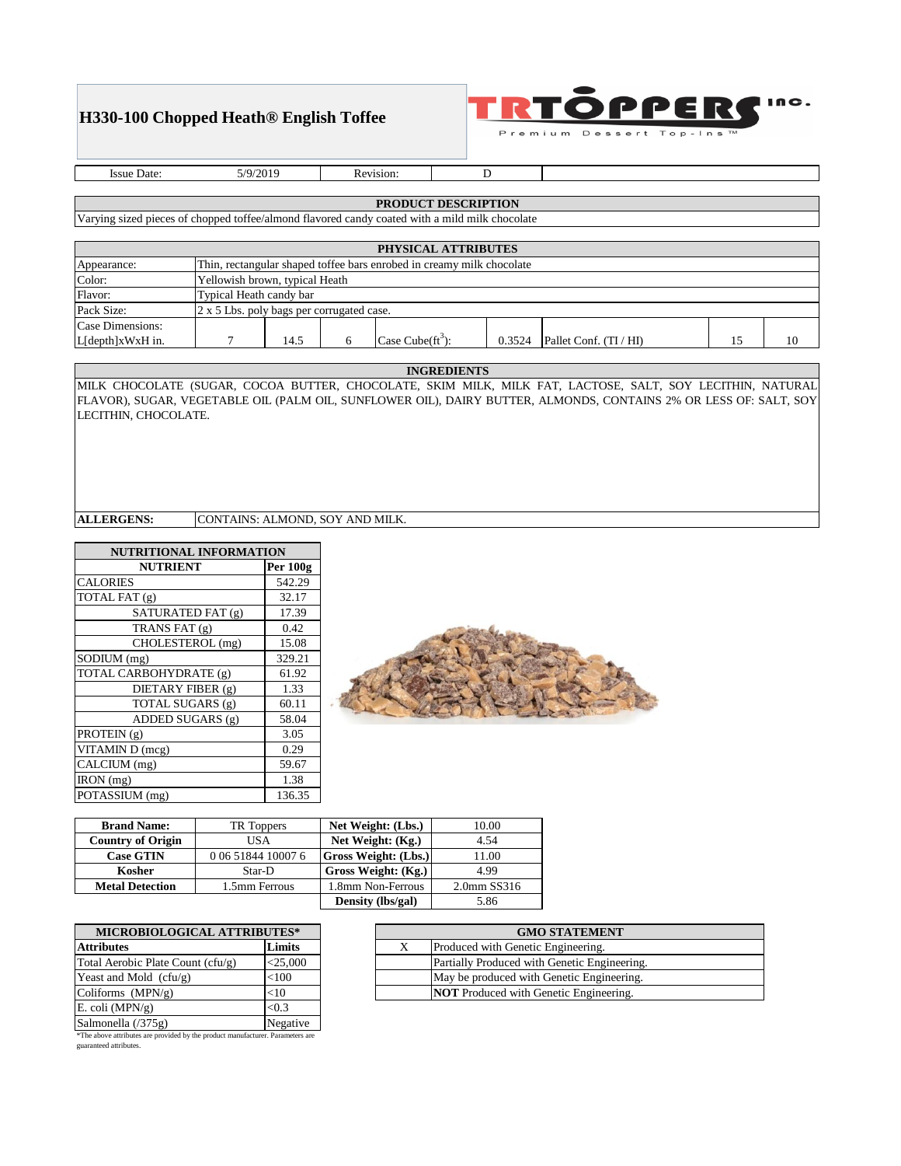# **H330-100 Chopped Heath® English Toffee**



Issue Date: 5/9/2019 Revision: D

### **PRODUCT DESCRIPTION**

Varying sized pieces of chopped toffee/almond flavored candy coated with a mild milk chocolate

|                  |                                                                       |      |  | PHYSICAL ATTRIBUTES |        |                        |    |    |
|------------------|-----------------------------------------------------------------------|------|--|---------------------|--------|------------------------|----|----|
| Appearance:      | Thin, rectangular shaped toffee bars enrobed in creamy milk chocolate |      |  |                     |        |                        |    |    |
| Color:           | Yellowish brown, typical Heath                                        |      |  |                     |        |                        |    |    |
| Flavor:          | Typical Heath candy bar                                               |      |  |                     |        |                        |    |    |
| Pack Size:       | 2 x 5 Lbs. poly bags per corrugated case.                             |      |  |                     |        |                        |    |    |
| Case Dimensions: |                                                                       |      |  |                     |        |                        |    |    |
| L[depth]xWxH in. |                                                                       | 14.5 |  | Case $Cube (ft3):$  | 0.3524 | Pallet Conf. (TI / HI) | 15 | 10 |

#### **INGREDIENTS**

MILK CHOCOLATE (SUGAR, COCOA BUTTER, CHOCOLATE, SKIM MILK, MILK FAT, LACTOSE, SALT, SOY LECITHIN, NATURAL FLAVOR), SUGAR, VEGETABLE OIL (PALM OIL, SUNFLOWER OIL), DAIRY BUTTER, ALMONDS, CONTAINS 2% OR LESS OF: SALT, SOY LECITHIN, CHOCOLATE.

### **ALLERGENS:** CONTAINS: ALMOND, SOY AND MILK.

| <b>NUTRITIONAL INFORMATION</b> |        |  |  |  |  |  |
|--------------------------------|--------|--|--|--|--|--|
| Per 100g<br><b>NUTRIENT</b>    |        |  |  |  |  |  |
| <b>CALORIES</b>                | 542.29 |  |  |  |  |  |
| TOTAL FAT (g)                  | 32.17  |  |  |  |  |  |
| SATURATED FAT (g)              | 17.39  |  |  |  |  |  |
| TRANS FAT (g)                  | 0.42   |  |  |  |  |  |
| CHOLESTEROL (mg)               | 15.08  |  |  |  |  |  |
| SODIUM (mg)                    | 329.21 |  |  |  |  |  |
| TOTAL CARBOHYDRATE (g)         | 61.92  |  |  |  |  |  |
| DIETARY FIBER (g)              | 1.33   |  |  |  |  |  |
| TOTAL SUGARS (g)               | 60.11  |  |  |  |  |  |
| ADDED SUGARS (g)               | 58.04  |  |  |  |  |  |
| PROTEIN (g)                    | 3.05   |  |  |  |  |  |
| VITAMIN D (mcg)                | 0.29   |  |  |  |  |  |
| CALCIUM (mg)                   | 59.67  |  |  |  |  |  |
| IRON (mg)                      | 1.38   |  |  |  |  |  |
| POTASSIUM (mg)                 | 136.35 |  |  |  |  |  |



| <b>Brand Name:</b>       | TR Toppers         | Net Weight: (Lbs.)          | 10.00       |
|--------------------------|--------------------|-----------------------------|-------------|
| <b>Country of Origin</b> | USA                | Net Weight: (Kg.)           | 4.54        |
| <b>Case GTIN</b>         | 0 06 51844 10007 6 | <b>Gross Weight: (Lbs.)</b> | 11.00       |
| Kosher                   | Star-D             | Gross Weight: (Kg.)         | 4.99        |
| <b>Metal Detection</b>   | 1.5mm Ferrous      | 1.8mm Non-Ferrous           | 2.0mm SS316 |
|                          |                    | Density (lbs/gal)           | 5.86        |

| <b>MICROBIOLOGICAL ATTRIBUTES*</b> |            |  |
|------------------------------------|------------|--|
| <b>Attributes</b>                  | Limits     |  |
| Total Aerobic Plate Count (cfu/g)  | $<$ 25,000 |  |
| Yeast and Mold $(cfu/g)$           | < 100      |  |
| Coliforms $(MPN/g)$                | $<$ 10     |  |
| E. coli (MPN/g)                    | < 0.3      |  |
| Salmonella (/375g)                 | Negative   |  |

\*The above attributes are provided by the product manufacturer. Parameters are guaranteed attributes.

| <b>GMO STATEMENT</b>                          |
|-----------------------------------------------|
| Produced with Genetic Engineering.            |
| Partially Produced with Genetic Engineering.  |
| May be produced with Genetic Engineering.     |
| <b>NOT</b> Produced with Genetic Engineering. |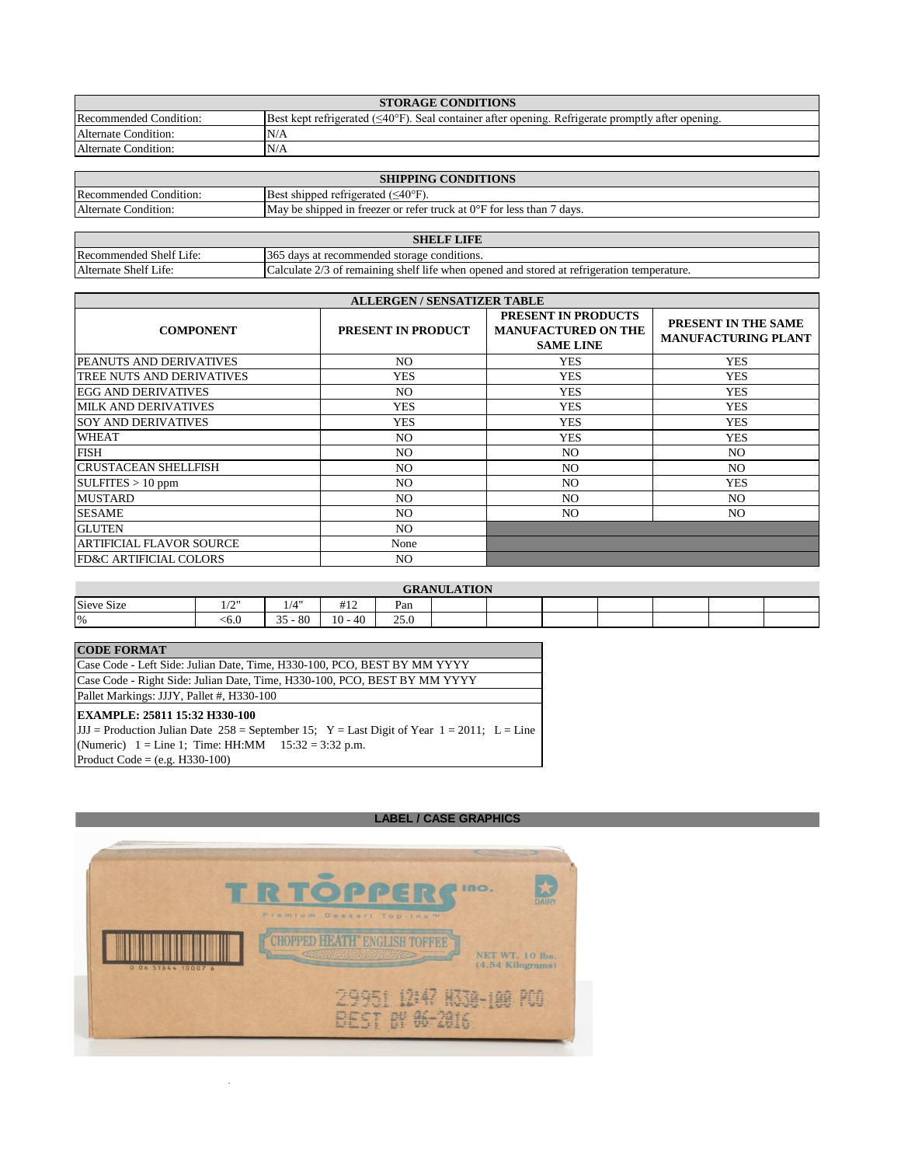|                        | <b>STORAGE CONDITIONS</b>                                                                                       |
|------------------------|-----------------------------------------------------------------------------------------------------------------|
| Recommended Condition: | Best kept refrigerated $(\leq 40^{\circ}F)$ . Seal container after opening. Refrigerate promptly after opening. |
| Alternate Condition:   | N/A                                                                                                             |
| Alternate Condition:   | N/A                                                                                                             |

|                        | <b>SHIPPING CONDITIONS</b>                                                      |
|------------------------|---------------------------------------------------------------------------------|
| Recommended Condition: | <b>Best shipped refrigerated (<math>\leq 40^{\circ}</math>F).</b>               |
| Alternate Condition:   | May be shipped in freezer or refer truck at $0^{\circ}$ F for less than 7 days. |

|                         | <b>LIFE</b><br>SHEL F                                                                       |
|-------------------------|---------------------------------------------------------------------------------------------|
| Recommended Shelf Life: | 365<br>davs at recommended storage conditions.                                              |
| Alternate Shelf Life:   | 3 of remaining shelf life when opened and stored at refrigeration temperature.<br>alculate. |

|                                   | <b>ALLERGEN / SENSATIZER TABLE</b> |                                                                              |                                                                 |  |  |
|-----------------------------------|------------------------------------|------------------------------------------------------------------------------|-----------------------------------------------------------------|--|--|
| <b>COMPONENT</b>                  | <b>PRESENT IN PRODUCT</b>          | <b>PRESENT IN PRODUCTS</b><br><b>MANUFACTURED ON THE</b><br><b>SAME LINE</b> | PRESENT IN THE SAME<br><b>MANUFACTURING PLANT</b><br><b>YES</b> |  |  |
| <b>PEANUTS AND DERIVATIVES</b>    | NO.                                | <b>YES</b>                                                                   |                                                                 |  |  |
| TREE NUTS AND DERIVATIVES         | <b>YES</b>                         | <b>YES</b>                                                                   | <b>YES</b>                                                      |  |  |
| EGG AND DERIVATIVES               | NO.                                | <b>YES</b>                                                                   | <b>YES</b>                                                      |  |  |
| <b>MILK AND DERIVATIVES</b>       | <b>YES</b>                         | <b>YES</b>                                                                   | <b>YES</b>                                                      |  |  |
| <b>SOY AND DERIVATIVES</b>        | <b>YES</b>                         | <b>YES</b>                                                                   | <b>YES</b>                                                      |  |  |
| <b>WHEAT</b>                      | NO.                                | <b>YES</b>                                                                   | <b>YES</b>                                                      |  |  |
| <b>FISH</b>                       | NO.                                | NO.                                                                          | NO.                                                             |  |  |
| <b>ICRUSTACEAN SHELLFISH</b>      | NO.                                | NO.                                                                          | N <sub>O</sub>                                                  |  |  |
| SULFITES > 10 ppm                 | NO.                                | NO.                                                                          | <b>YES</b>                                                      |  |  |
| <b>MUSTARD</b>                    | NO.                                | NO.                                                                          | N <sub>O</sub>                                                  |  |  |
| <b>SESAME</b>                     | NO.                                | NO.                                                                          | NO.                                                             |  |  |
| <b>GLUTEN</b>                     | NO.                                |                                                                              |                                                                 |  |  |
| <b>ARTIFICIAL FLAVOR SOURCE</b>   | None                               |                                                                              |                                                                 |  |  |
| <b>FD&amp;C ARTIFICIAL COLORS</b> | NO.                                |                                                                              |                                                                 |  |  |

|               |                             |           |           |             | <b>GRANULATION</b> |  |  |  |
|---------------|-----------------------------|-----------|-----------|-------------|--------------------|--|--|--|
| Sieve Size    | $\sqrt{2}$<br>$\frac{1}{2}$ | 1/4"      | #12       | Pan         |                    |  |  |  |
| $\frac{9}{6}$ | <6.0                        | $35 - 80$ | $10 - 40$ | 250<br>25.U |                    |  |  |  |

## **CODE FORMAT**

| Pallet Markings: JJJY, Pallet #, H330-100                                 |
|---------------------------------------------------------------------------|
| Case Code - Right Side: Julian Date, Time, H330-100, PCO, BEST BY MM YYYY |
| Case Code - Left Side: Julian Date, Time, H330-100, PCO, BEST BY MM YYYY  |

JJJ = Production Julian Date  $258$  = September 15; Y = Last Digit of Year  $1 = 2011$ ; L = Line (Numeric)  $1 =$  Line 1; Time: HH:MM  $15:32 = 3:32$  p.m. Product Code = (e.g. H330-100)

### **LABEL / CASE GRAPHICS**



 $\bar{z}$